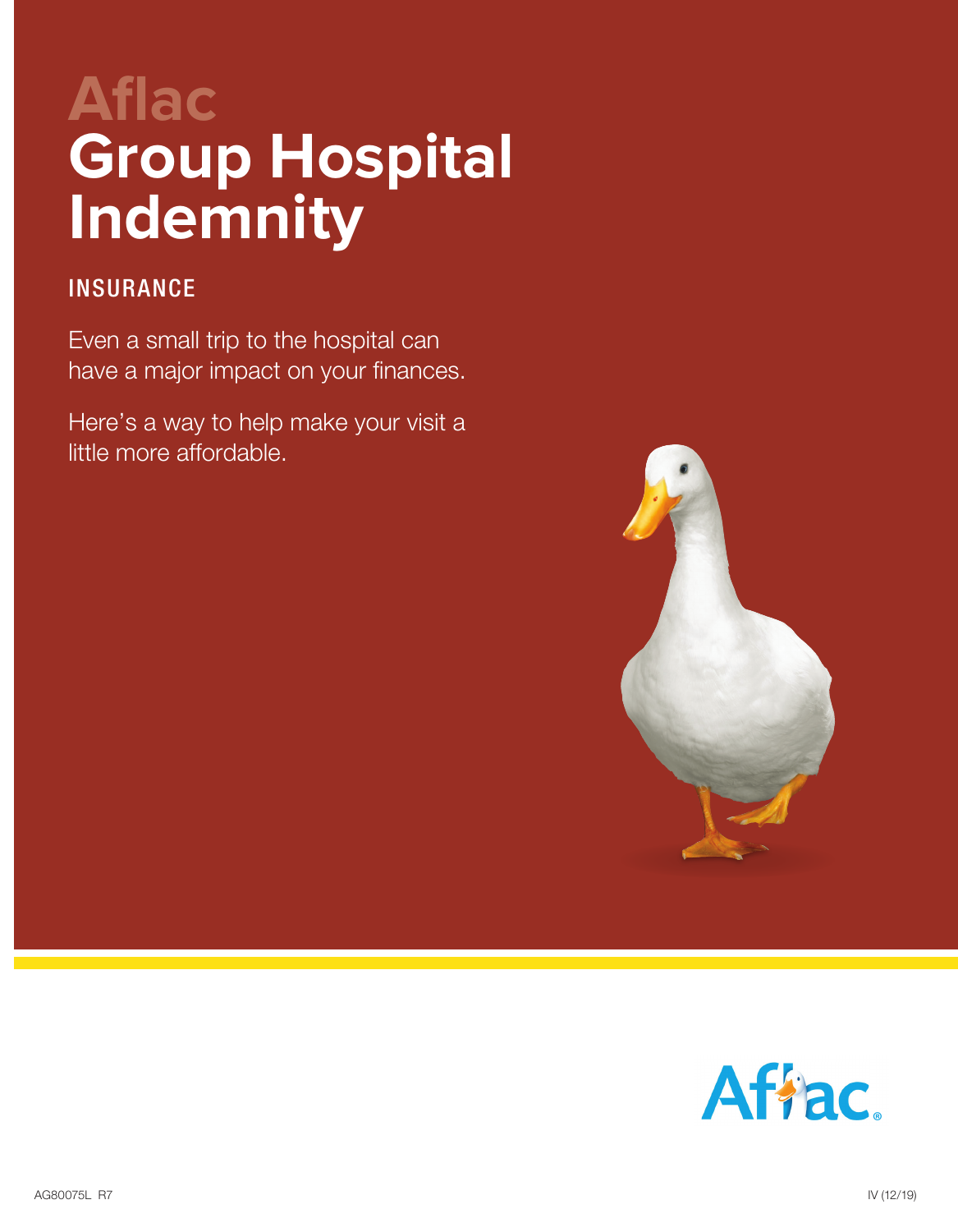# **Aflac Group Hospital Indemnity**

# **INSURANCE**

Even a small trip to the hospital can have a major impact on your finances.

Here's a way to help make your visit a little more affordable.



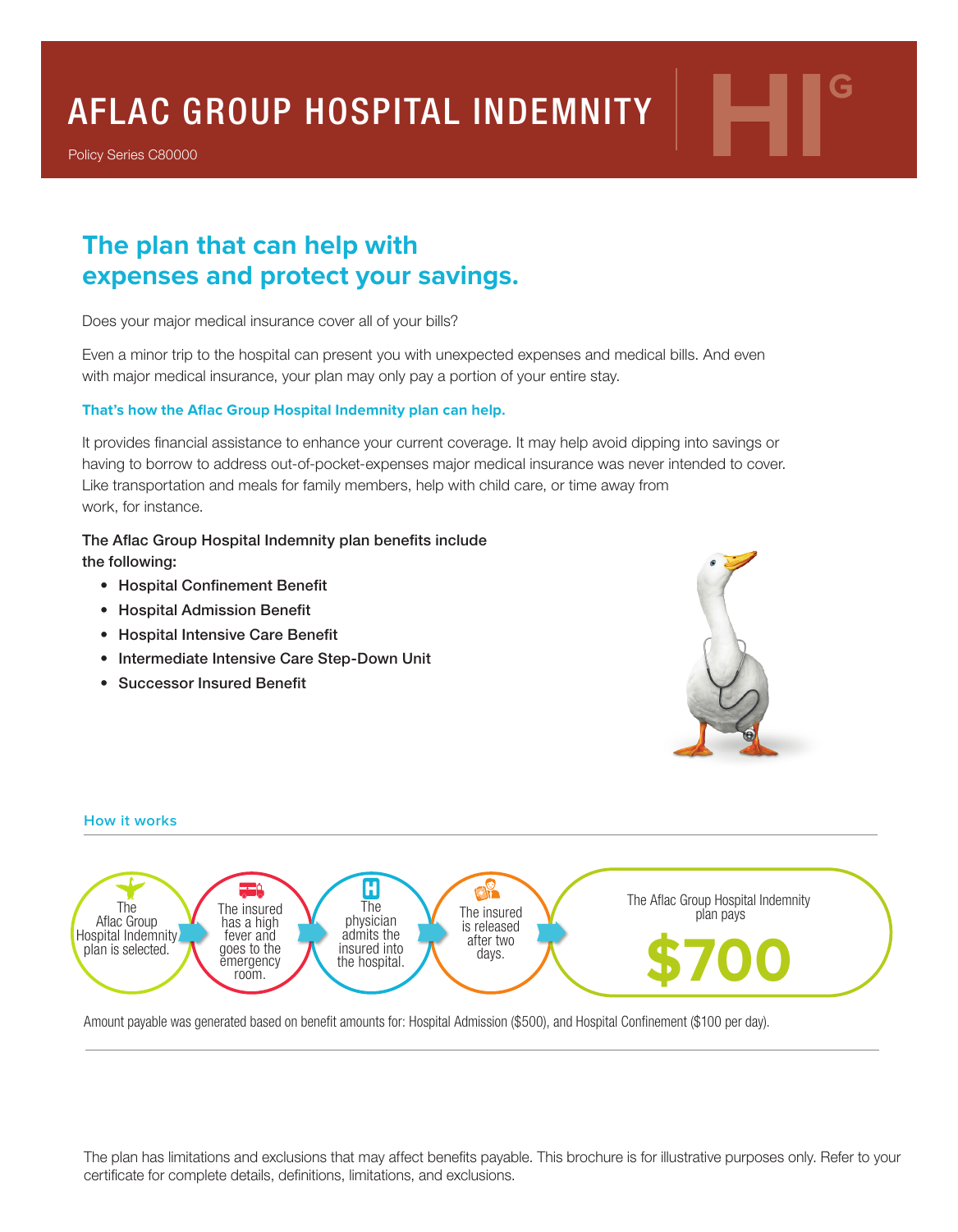# **AFLAC GROUP HOSPITAL INDEMNITY**

Policy Series C80000

# **The plan that can help with expenses and protect your savings.**

Does your major medical insurance cover all of your bills?

Even a minor trip to the hospital can present you with unexpected expenses and medical bills. And even with major medical insurance, your plan may only pay a portion of your entire stay.

### **That's how the Aflac Group Hospital Indemnity plan can help.**

It provides financial assistance to enhance your current coverage. It may help avoid dipping into savings or having to borrow to address out-of-pocket-expenses major medical insurance was never intended to cover. Like transportation and meals for family members, help with child care, or time away from work, for instance.

### The Aflac Group Hospital Indemnity plan benefits include

the following:

- Hospital Confinement Benefit
- Hospital Admission Benefit
- Hospital Intensive Care Benefit
- Intermediate Intensive Care Step-Down Unit
- Successor Insured Benefit



#### **How it works** Н C. The Aflac Group Hospital Indemnity The The The insured The insured plan pays Aflac Group physician has a high is released Hospital Indemnity admits the fever and after two **\$700** plan is selected. goes to the insured into days. emergency the hospital. room.

Amount payable was generated based on benefit amounts for: Hospital Admission (\$500), and Hospital Confinement (\$100 per day).

The plan has limitations and exclusions that may affect benefits payable. This brochure is for illustrative purposes only. Refer to your certificate for complete details, definitions, limitations, and exclusions.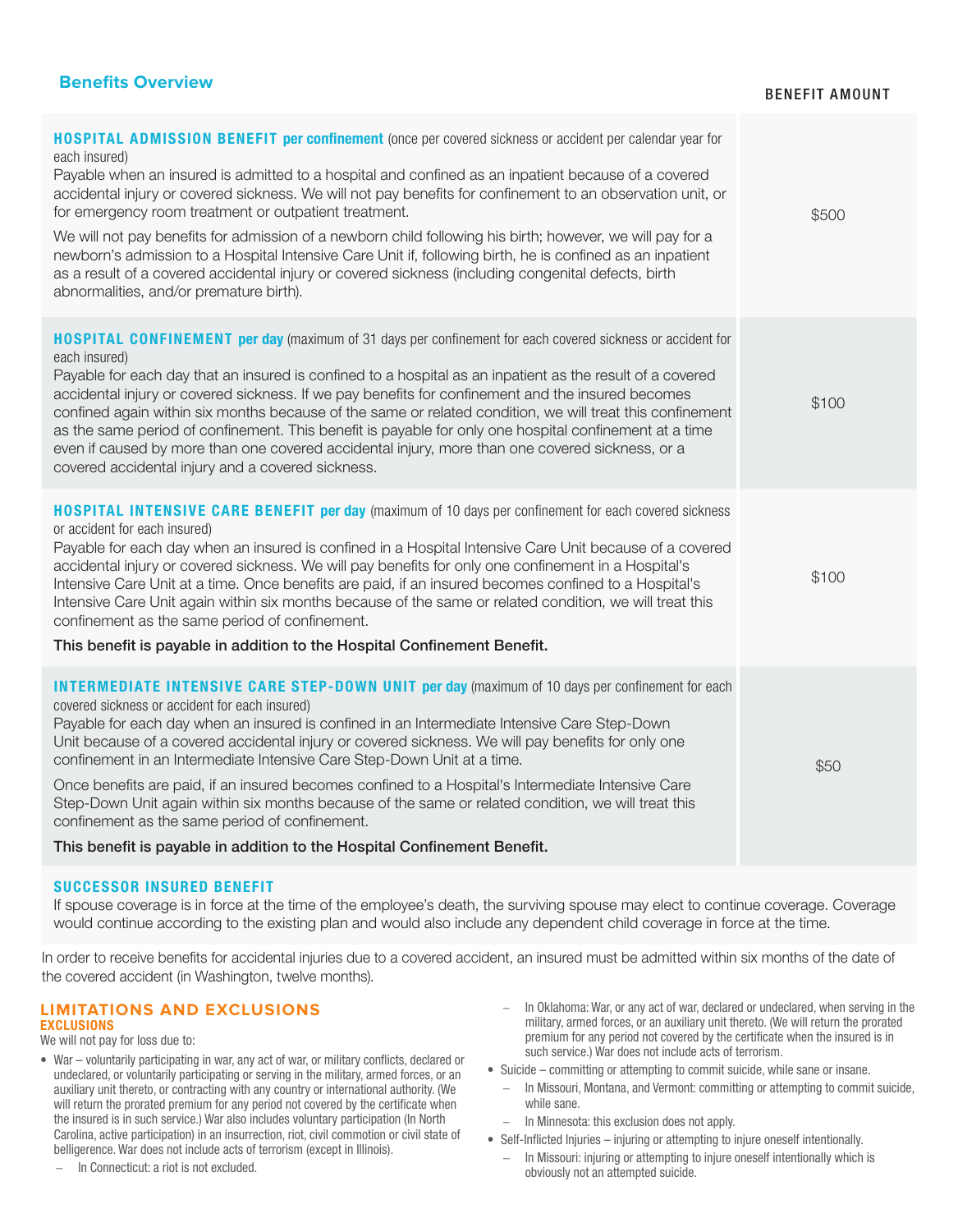## **Benefits Overview**

### BENEFIT AMOUNT

| HOSPITAL ADMISSION BENEFIT per confinement (once per covered sickness or accident per calendar year for<br>each insured)<br>Payable when an insured is admitted to a hospital and confined as an inpatient because of a covered<br>accidental injury or covered sickness. We will not pay benefits for confinement to an observation unit, or<br>for emergency room treatment or outpatient treatment.<br>We will not pay benefits for admission of a newborn child following his birth; however, we will pay for a<br>newborn's admission to a Hospital Intensive Care Unit if, following birth, he is confined as an inpatient<br>as a result of a covered accidental injury or covered sickness (including congenital defects, birth<br>abnormalities, and/or premature birth).   | \$500 |
|--------------------------------------------------------------------------------------------------------------------------------------------------------------------------------------------------------------------------------------------------------------------------------------------------------------------------------------------------------------------------------------------------------------------------------------------------------------------------------------------------------------------------------------------------------------------------------------------------------------------------------------------------------------------------------------------------------------------------------------------------------------------------------------|-------|
| <b>HOSPITAL CONFINEMENT per day (maximum of 31 days per confinement for each covered sickness or accident for</b><br>each insured)<br>Payable for each day that an insured is confined to a hospital as an inpatient as the result of a covered<br>accidental injury or covered sickness. If we pay benefits for confinement and the insured becomes<br>confined again within six months because of the same or related condition, we will treat this confinement<br>as the same period of confinement. This benefit is payable for only one hospital confinement at a time<br>even if caused by more than one covered accidental injury, more than one covered sickness, or a<br>covered accidental injury and a covered sickness.                                                  | \$100 |
| <b>HOSPITAL INTENSIVE CARE BENEFIT per day</b> (maximum of 10 days per confinement for each covered sickness<br>or accident for each insured)<br>Payable for each day when an insured is confined in a Hospital Intensive Care Unit because of a covered<br>accidental injury or covered sickness. We will pay benefits for only one confinement in a Hospital's<br>Intensive Care Unit at a time. Once benefits are paid, if an insured becomes confined to a Hospital's<br>Intensive Care Unit again within six months because of the same or related condition, we will treat this<br>confinement as the same period of confinement.<br>This benefit is payable in addition to the Hospital Confinement Benefit.                                                                  | \$100 |
| <b>INTERMEDIATE INTENSIVE CARE STEP-DOWN UNIT per day</b> (maximum of 10 days per confinement for each<br>covered sickness or accident for each insured)<br>Payable for each day when an insured is confined in an Intermediate Intensive Care Step-Down<br>Unit because of a covered accidental injury or covered sickness. We will pay benefits for only one<br>confinement in an Intermediate Intensive Care Step-Down Unit at a time.<br>Once benefits are paid, if an insured becomes confined to a Hospital's Intermediate Intensive Care<br>Step-Down Unit again within six months because of the same or related condition, we will treat this<br>confinement as the same period of confinement.<br>This benefit is payable in addition to the Hospital Confinement Benefit. | \$50  |

#### SUCCESSOR INSURED BENEFIT

If spouse coverage is in force at the time of the employee's death, the surviving spouse may elect to continue coverage. Coverage would continue according to the existing plan and would also include any dependent child coverage in force at the time.

In order to receive benefits for accidental injuries due to a covered accident, an insured must be admitted within six months of the date of the covered accident (in Washington, twelve months).

### **LIMITATIONS AND EXCLUSIONS**

EXCLUSIONS

We will not pay for loss due to:

- War voluntarily participating in war, any act of war, or military conflicts, declared or undeclared, or voluntarily participating or serving in the military, armed forces, or an auxiliary unit thereto, or contracting with any country or international authority. (We will return the prorated premium for any period not covered by the certificate when the insured is in such service.) War also includes voluntary participation (In North Carolina, active participation) in an insurrection, riot, civil commotion or civil state of belligerence. War does not include acts of terrorism (except in Illinois).
	- − In Connecticut: a riot is not excluded.
- − In Oklahoma: War, or any act of war, declared or undeclared, when serving in the military, armed forces, or an auxiliary unit thereto. (We will return the prorated premium for any period not covered by the certificate when the insured is in such service.) War does not include acts of terrorism.
- Suicide committing or attempting to commit suicide, while sane or insane.
	- − In Missouri, Montana, and Vermont: committing or attempting to commit suicide, while sane.
	- − In Minnesota: this exclusion does not apply.
- Self-Inflicted Injuries injuring or attempting to injure oneself intentionally.
	- − In Missouri: injuring or attempting to injure oneself intentionally which is obviously not an attempted suicide.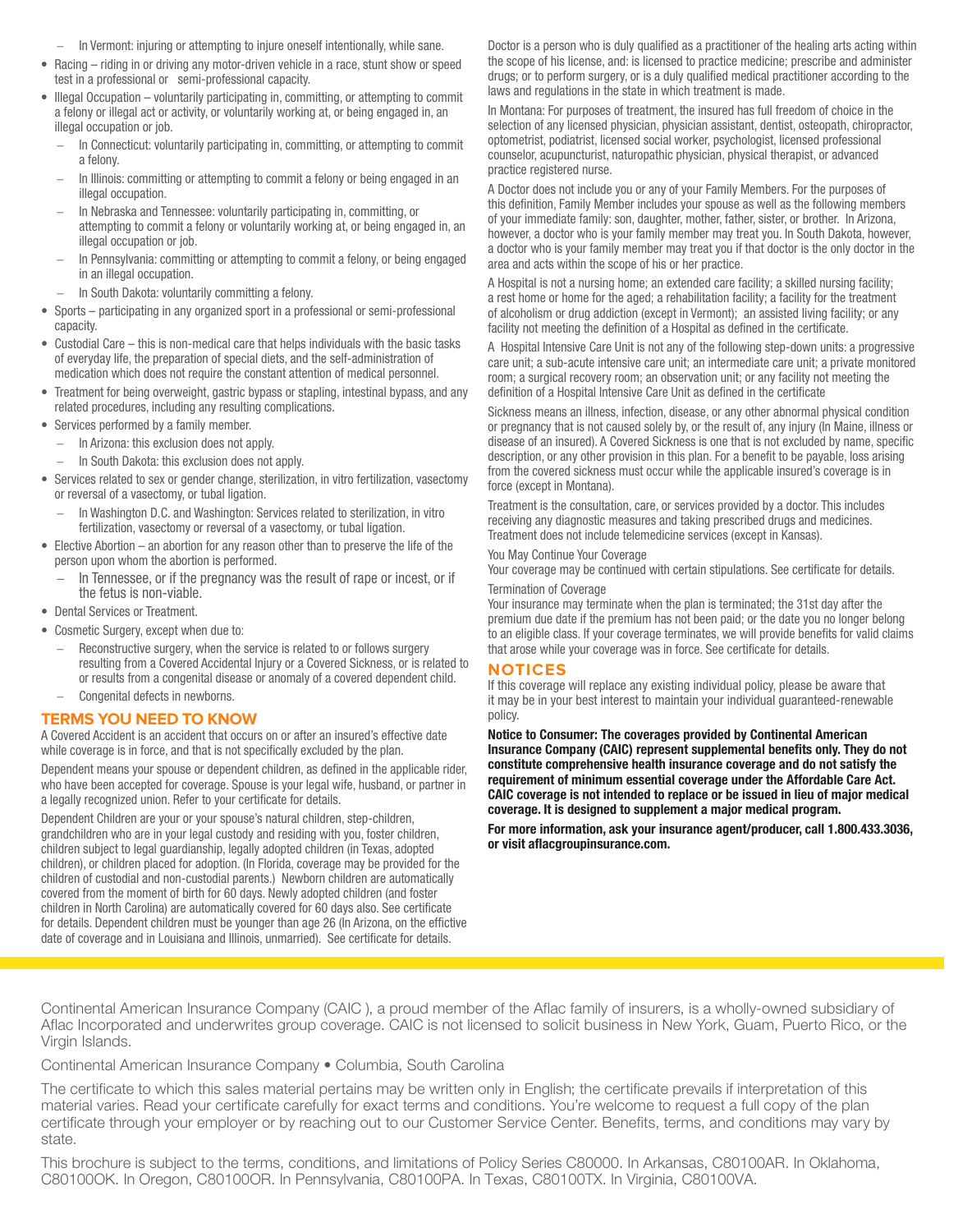- − In Vermont: injuring or attempting to injure oneself intentionally, while sane.
- Racing riding in or driving any motor-driven vehicle in a race, stunt show or speed test in a professional or semi-professional capacity.
- Illegal Occupation voluntarily participating in, committing, or attempting to commit a felony or illegal act or activity, or voluntarily working at, or being engaged in, an illegal occupation or job.
	- − In Connecticut: voluntarily participating in, committing, or attempting to commit a felony.
	- − In Illinois: committing or attempting to commit a felony or being engaged in an illegal occupation.
	- In Nebraska and Tennessee: voluntarily participating in, committing, or attempting to commit a felony or voluntarily working at, or being engaged in, an illegal occupation or job.
	- In Pennsylvania: committing or attempting to commit a felony, or being engaged in an illegal occupation.
	- − In South Dakota: voluntarily committing a felony.
- Sports participating in any organized sport in a professional or semi-professional capacity.
- Custodial Care this is non-medical care that helps individuals with the basic tasks of everyday life, the preparation of special diets, and the self-administration of medication which does not require the constant attention of medical personnel.
- Treatment for being overweight, gastric bypass or stapling, intestinal bypass, and any related procedures, including any resulting complications.
- Services performed by a family member.
	- − In Arizona: this exclusion does not apply.
	- In South Dakota: this exclusion does not apply.
- Services related to sex or gender change, sterilization, in vitro fertilization, vasectomy or reversal of a vasectomy, or tubal ligation.
	- − In Washington D.C. and Washington: Services related to sterilization, in vitro fertilization, vasectomy or reversal of a vasectomy, or tubal ligation.
- Elective Abortion an abortion for any reason other than to preserve the life of the person upon whom the abortion is performed.
	- In Tennessee, or if the pregnancy was the result of rape or incest, or if the fetus is non-viable.
- Dental Services or Treatment.
- Cosmetic Surgery, except when due to:
	- Reconstructive surgery, when the service is related to or follows surgery resulting from a Covered Accidental Injury or a Covered Sickness, or is related to or results from a congenital disease or anomaly of a covered dependent child.
	- − Congenital defects in newborns.

## **TERMS YOU NEED TO KNOW**

A Covered Accident is an accident that occurs on or after an insured's effective date while coverage is in force, and that is not specifically excluded by the plan.

Dependent means your spouse or dependent children, as defined in the applicable rider, who have been accepted for coverage. Spouse is your legal wife, husband, or partner in a legally recognized union. Refer to your certificate for details.

Dependent Children are your or your spouse's natural children, step-children, grandchildren who are in your legal custody and residing with you, foster children, children subject to legal guardianship, legally adopted children (in Texas, adopted children), or children placed for adoption. (In Florida, coverage may be provided for the children of custodial and non-custodial parents.) Newborn children are automatically covered from the moment of birth for 60 days. Newly adopted children (and foster children in North Carolina) are automatically covered for 60 days also. See certificate for details. Dependent children must be younger than age 26 (In Arizona, on the effictive date of coverage and in Louisiana and Illinois, unmarried). See certificate for details.

Doctor is a person who is duly qualified as a practitioner of the healing arts acting within the scope of his license, and: is licensed to practice medicine; prescribe and administer drugs; or to perform surgery, or is a duly qualified medical practitioner according to the laws and regulations in the state in which treatment is made.

In Montana: For purposes of treatment, the insured has full freedom of choice in the selection of any licensed physician, physician assistant, dentist, osteopath, chiropractor, optometrist, podiatrist, licensed social worker, psychologist, licensed professional counselor, acupuncturist, naturopathic physician, physical therapist, or advanced practice registered nurse.

A Doctor does not include you or any of your Family Members. For the purposes of this definition, Family Member includes your spouse as well as the following members of your immediate family: son, daughter, mother, father, sister, or brother. In Arizona, however, a doctor who is your family member may treat you. In South Dakota, however, a doctor who is your family member may treat you if that doctor is the only doctor in the area and acts within the scope of his or her practice.

A Hospital is not a nursing home; an extended care facility; a skilled nursing facility; a rest home or home for the aged; a rehabilitation facility; a facility for the treatment of alcoholism or drug addiction (except in Vermont); an assisted living facility; or any facility not meeting the definition of a Hospital as defined in the certificate.

A Hospital Intensive Care Unit is not any of the following step-down units: a progressive care unit; a sub-acute intensive care unit; an intermediate care unit; a private monitored room; a surgical recovery room; an observation unit; or any facility not meeting the definition of a Hospital Intensive Care Unit as defined in the certificate

Sickness means an illness, infection, disease, or any other abnormal physical condition or pregnancy that is not caused solely by, or the result of, any injury (In Maine, illness or disease of an insured). A Covered Sickness is one that is not excluded by name, specific description, or any other provision in this plan. For a benefit to be payable, loss arising from the covered sickness must occur while the applicable insured's coverage is in force (except in Montana).

Treatment is the consultation, care, or services provided by a doctor. This includes receiving any diagnostic measures and taking prescribed drugs and medicines. Treatment does not include telemedicine services (except in Kansas).

#### You May Continue Your Coverage

Your coverage may be continued with certain stipulations. See certificate for details. Termination of Coverage

Your insurance may terminate when the plan is terminated; the 31st day after the premium due date if the premium has not been paid; or the date you no longer belong to an eligible class. If your coverage terminates, we will provide benefits for valid claims that arose while your coverage was in force. See certificate for details.

## **NOTICES**

If this coverage will replace any existing individual policy, please be aware that it may be in your best interest to maintain your individual guaranteed-renewable policy.

Notice to Consumer: The coverages provided by Continental American Insurance Company (CAIC) represent supplemental benefits only. They do not constitute comprehensive health insurance coverage and do not satisfy the requirement of minimum essential coverage under the Affordable Care Act. CAIC coverage is not intended to replace or be issued in lieu of major medical coverage. It is designed to supplement a major medical program.

For more information, ask your insurance agent/producer, call 1.800.433.3036, or visit aflacgroupinsurance.com.

Continental American Insurance Company (CAIC ), a proud member of the Aflac family of insurers, is a wholly-owned subsidiary of Aflac Incorporated and underwrites group coverage. CAIC is not licensed to solicit business in New York, Guam, Puerto Rico, or the Virgin Islands.

Continental American Insurance Company • Columbia, South Carolina

The certificate to which this sales material pertains may be written only in English; the certificate prevails if interpretation of this material varies. Read your certificate carefully for exact terms and conditions. You're welcome to request a full copy of the plan certificate through your employer or by reaching out to our Customer Service Center. Benefits, terms, and conditions may vary by state.

This brochure is subject to the terms, conditions, and limitations of Policy Series C80000. In Arkansas, C80100AR. In Oklahoma, C80100OK. In Oregon, C80100OR. In Pennsylvania, C80100PA. In Texas, C80100TX. In Virginia, C80100VA.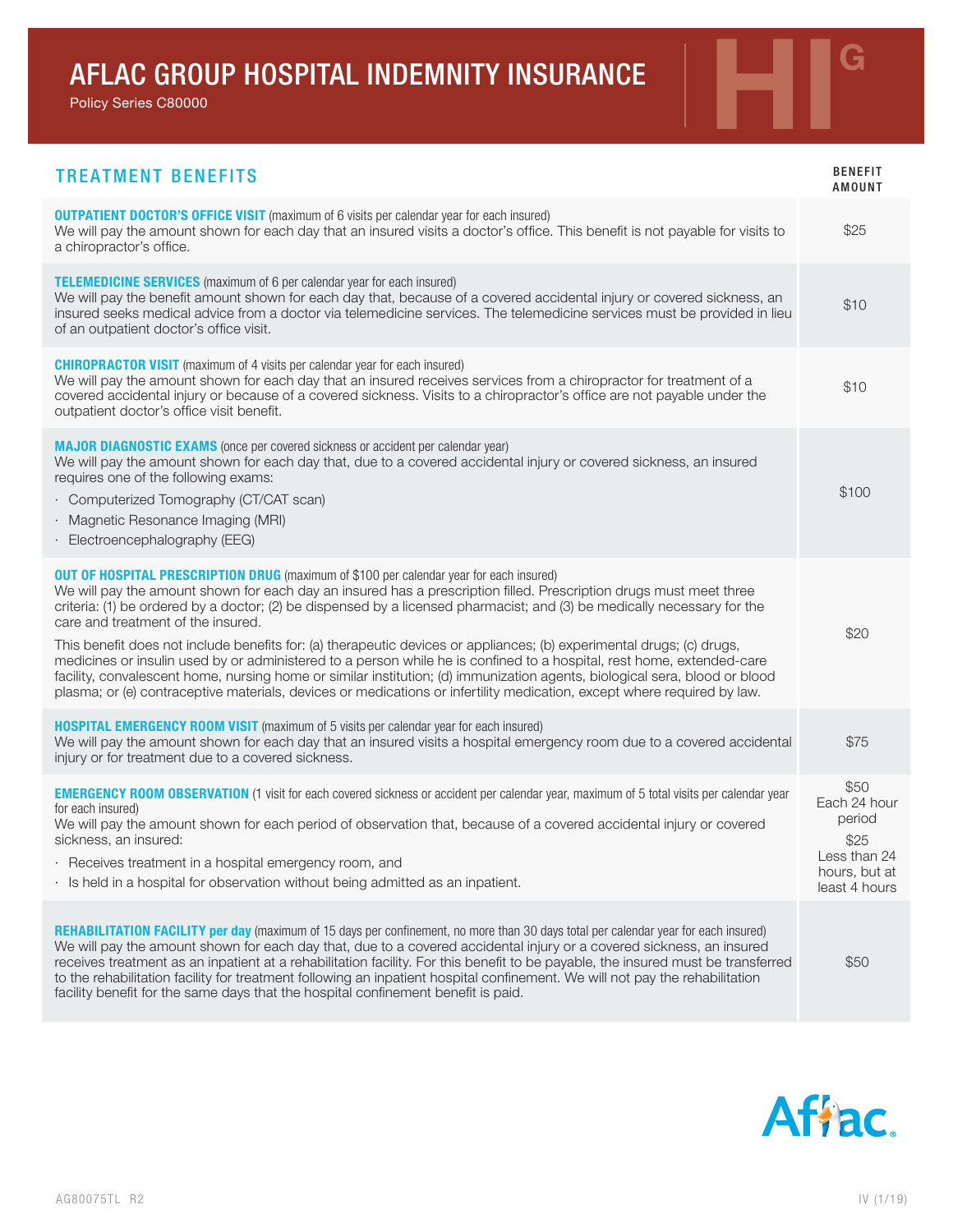# AFLAC GROUP HOSPITAL INDEMNITY INSURANCE AFLAC GROUP HOSPITAL INDEMNITY INSURANCE

| <b>TREATMENT BENEFITS</b>                                                                                                                                                                                                                                                                                                                                                                                                                                                                                                                                                                                                                                                                                                                                                                                                                                                                        | <b>BENEFIT</b><br>AMOUNT                                                                 |
|--------------------------------------------------------------------------------------------------------------------------------------------------------------------------------------------------------------------------------------------------------------------------------------------------------------------------------------------------------------------------------------------------------------------------------------------------------------------------------------------------------------------------------------------------------------------------------------------------------------------------------------------------------------------------------------------------------------------------------------------------------------------------------------------------------------------------------------------------------------------------------------------------|------------------------------------------------------------------------------------------|
| <b>OUTPATIENT DOCTOR'S OFFICE VISIT</b> (maximum of 6 visits per calendar year for each insured)<br>We will pay the amount shown for each day that an insured visits a doctor's office. This benefit is not payable for visits to<br>a chiropractor's office.                                                                                                                                                                                                                                                                                                                                                                                                                                                                                                                                                                                                                                    | \$25                                                                                     |
| <b>TELEMEDICINE SERVICES</b> (maximum of 6 per calendar year for each insured)<br>We will pay the benefit amount shown for each day that, because of a covered accidental injury or covered sickness, an<br>insured seeks medical advice from a doctor via telemedicine services. The telemedicine services must be provided in lieu<br>of an outpatient doctor's office visit.                                                                                                                                                                                                                                                                                                                                                                                                                                                                                                                  | \$10                                                                                     |
| <b>CHIROPRACTOR VISIT</b> (maximum of 4 visits per calendar year for each insured)<br>We will pay the amount shown for each day that an insured receives services from a chiropractor for treatment of a<br>covered accidental injury or because of a covered sickness. Visits to a chiropractor's office are not payable under the<br>outpatient doctor's office visit benefit.                                                                                                                                                                                                                                                                                                                                                                                                                                                                                                                 | \$10                                                                                     |
| <b>MAJOR DIAGNOSTIC EXAMS</b> (once per covered sickness or accident per calendar year)<br>We will pay the amount shown for each day that, due to a covered accidental injury or covered sickness, an insured<br>requires one of the following exams:<br>· Computerized Tomography (CT/CAT scan)<br>· Magnetic Resonance Imaging (MRI)<br>Electroencephalography (EEG)                                                                                                                                                                                                                                                                                                                                                                                                                                                                                                                           | \$100                                                                                    |
| <b>OUT OF HOSPITAL PRESCRIPTION DRUG</b> (maximum of \$100 per calendar year for each insured)<br>We will pay the amount shown for each day an insured has a prescription filled. Prescription drugs must meet three<br>criteria: (1) be ordered by a doctor; (2) be dispensed by a licensed pharmacist; and (3) be medically necessary for the<br>care and treatment of the insured.<br>This benefit does not include benefits for: (a) therapeutic devices or appliances; (b) experimental drugs; (c) drugs,<br>medicines or insulin used by or administered to a person while he is confined to a hospital, rest home, extended-care<br>facility, convalescent home, nursing home or similar institution; (d) immunization agents, biological sera, blood or blood<br>plasma; or (e) contraceptive materials, devices or medications or infertility medication, except where required by law. | \$20                                                                                     |
| <b>HOSPITAL EMERGENCY ROOM VISIT</b> (maximum of 5 visits per calendar year for each insured)<br>We will pay the amount shown for each day that an insured visits a hospital emergency room due to a covered accidental<br>injury or for treatment due to a covered sickness.                                                                                                                                                                                                                                                                                                                                                                                                                                                                                                                                                                                                                    | \$75                                                                                     |
| <b>EMERGENCY ROOM OBSERVATION</b> (1 visit for each covered sickness or accident per calendar year, maximum of 5 total visits per calendar year<br>for each insured)<br>We will pay the amount shown for each period of observation that, because of a covered accidental injury or covered<br>sickness, an insured:<br>Receives treatment in a hospital emergency room, and<br>· Is held in a hospital for observation without being admitted as an inpatient.                                                                                                                                                                                                                                                                                                                                                                                                                                  | \$50<br>Each 24 hour<br>period<br>\$25<br>Less than 24<br>hours, but at<br>least 4 hours |
| REHABILITATION FACILITY per day (maximum of 15 days per confinement, no more than 30 days total per calendar year for each insured)<br>We will pay the amount shown for each day that, due to a covered accidental injury or a covered sickness, an insured<br>receives treatment as an inpatient at a rehabilitation facility. For this benefit to be payable, the insured must be transferred<br>to the rehabilitation facility for treatment following an inpatient hospital confinement. We will not pay the rehabilitation<br>facility benefit for the same days that the hospital confinement benefit is paid.                                                                                                                                                                                                                                                                             | \$50                                                                                     |

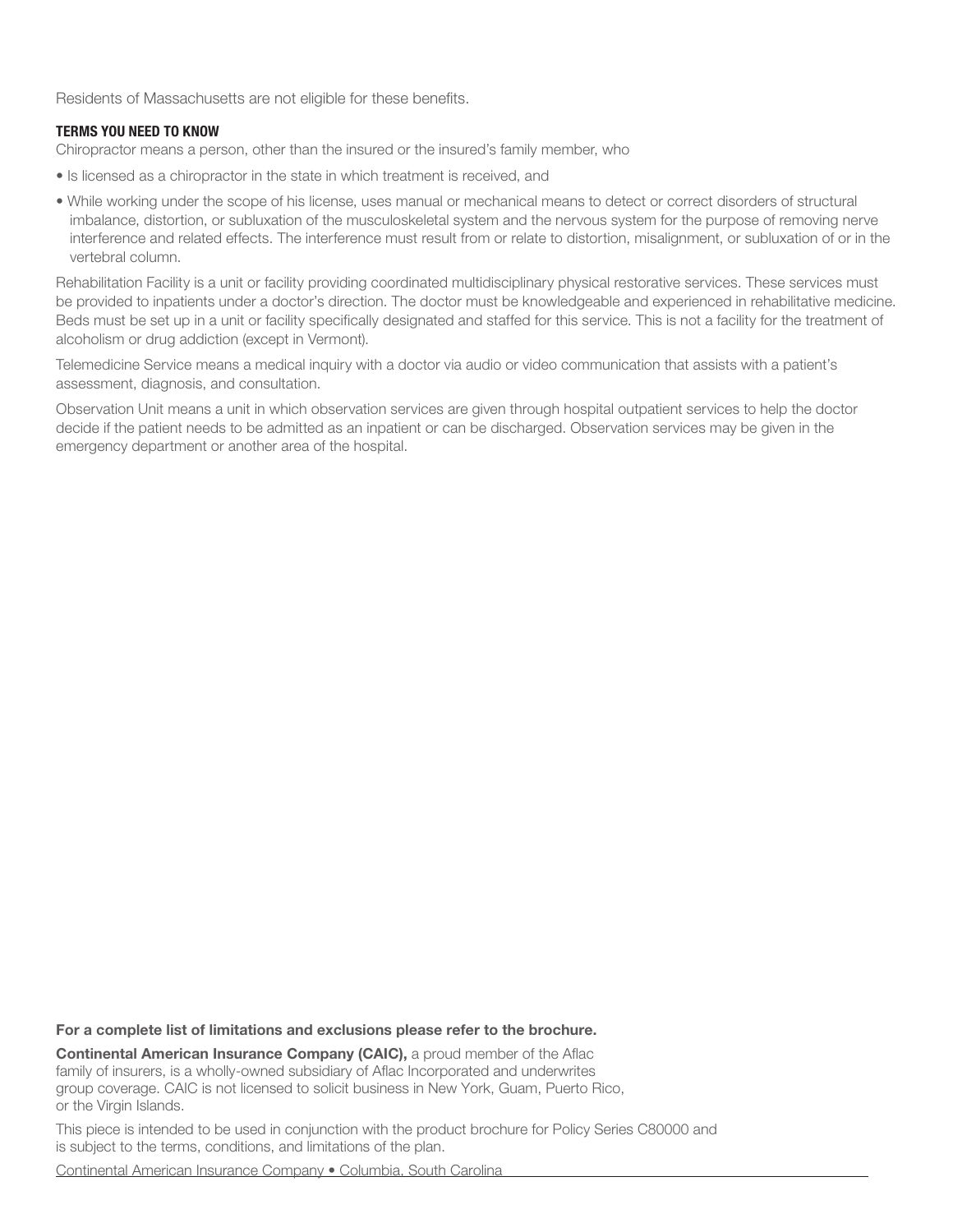Residents of Massachusetts are not eligible for these benefits.

#### **TERMS YOU NEED TO KNOW**

Chiropractor means a person, other than the insured or the insured's family member, who

- Is licensed as a chiropractor in the state in which treatment is received, and
- While working under the scope of his license, uses manual or mechanical means to detect or correct disorders of structural imbalance, distortion, or subluxation of the musculoskeletal system and the nervous system for the purpose of removing nerve interference and related effects. The interference must result from or relate to distortion, misalignment, or subluxation of or in the vertebral column.

Rehabilitation Facility is a unit or facility providing coordinated multidisciplinary physical restorative services. These services must be provided to inpatients under a doctor's direction. The doctor must be knowledgeable and experienced in rehabilitative medicine. Beds must be set up in a unit or facility specifically designated and staffed for this service. This is not a facility for the treatment of alcoholism or drug addiction (except in Vermont).

Telemedicine Service means a medical inquiry with a doctor via audio or video communication that assists with a patient's assessment, diagnosis, and consultation.

Observation Unit means a unit in which observation services are given through hospital outpatient services to help the doctor decide if the patient needs to be admitted as an inpatient or can be discharged. Observation services may be given in the emergency department or another area of the hospital.

#### **For a complete list of limitations and exclusions please refer to the brochure.**

**Continental American Insurance Company (CAIC),** a proud member of the Aflac family of insurers, is a wholly-owned subsidiary of Aflac Incorporated and underwrites group coverage. CAIC is not licensed to solicit business in New York, Guam, Puerto Rico, or the Virgin Islands.

This piece is intended to be used in conjunction with the product brochure for Policy Series C80000 and is subject to the terms, conditions, and limitations of the plan.

Continental American Insurance Company • Columbia, South Carolina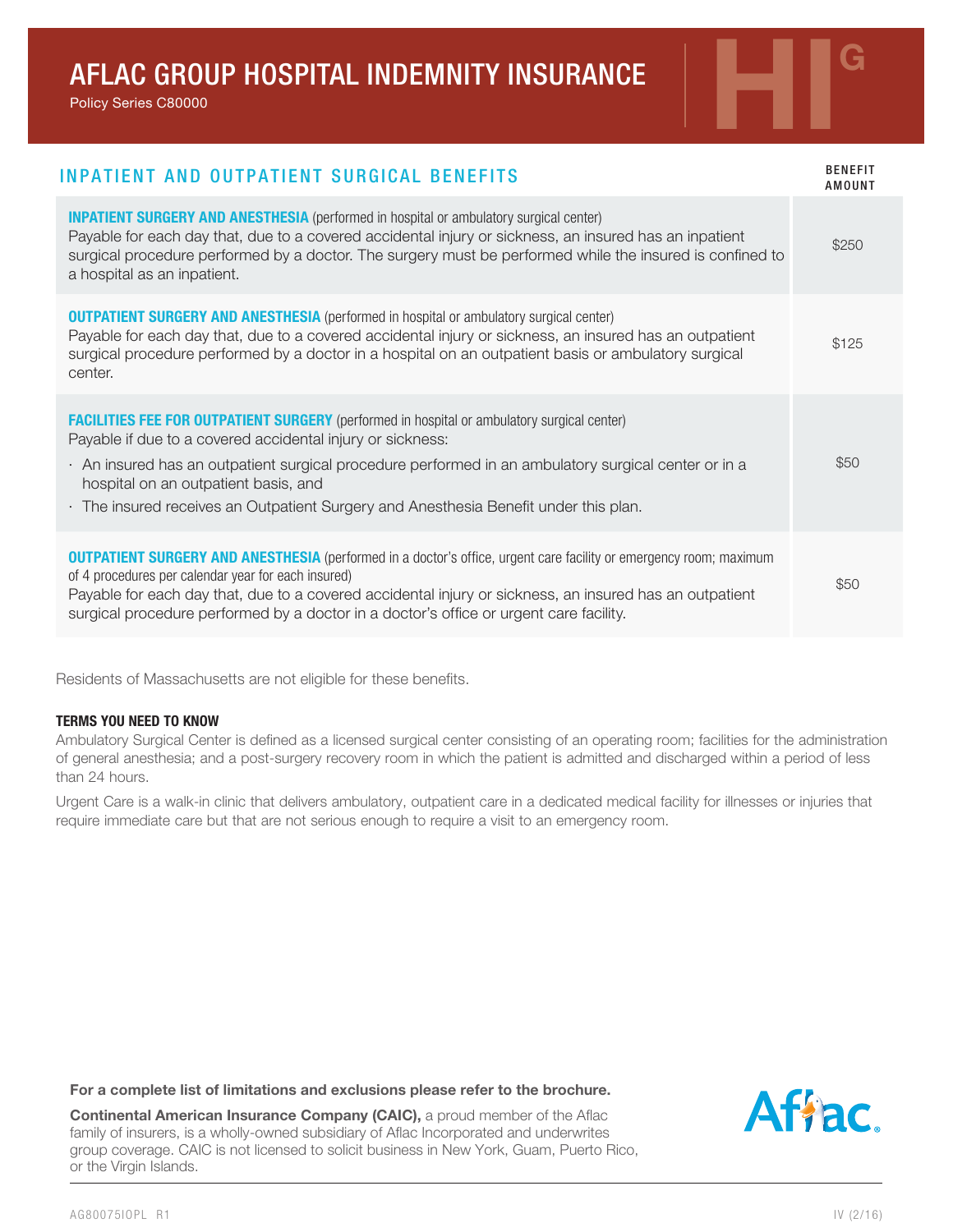# AFLAC GROUP HOSPITAL INDEMNITY INSURANCE AFLAC GROUP HOSPITAL INDEMNITY INSURANCE

| <b>INPATIENT AND OUTPATIENT SURGICAL BENEFITS</b>                                                                                                                                                                                                                                                                                                                                                        | <b>BENEFIT</b><br>AMOUNT |
|----------------------------------------------------------------------------------------------------------------------------------------------------------------------------------------------------------------------------------------------------------------------------------------------------------------------------------------------------------------------------------------------------------|--------------------------|
| <b>INPATIENT SURGERY AND ANESTHESIA</b> (performed in hospital or ambulatory surgical center)<br>Payable for each day that, due to a covered accidental injury or sickness, an insured has an inpatient<br>surgical procedure performed by a doctor. The surgery must be performed while the insured is confined to<br>a hospital as an inpatient.                                                       | \$250                    |
| <b>OUTPATIENT SURGERY AND ANESTHESIA</b> (performed in hospital or ambulatory surgical center)<br>Payable for each day that, due to a covered accidental injury or sickness, an insured has an outpatient<br>surgical procedure performed by a doctor in a hospital on an outpatient basis or ambulatory surgical<br>center.                                                                             | \$125                    |
| <b>FACILITIES FEE FOR OUTPATIENT SURGERY</b> (performed in hospital or ambulatory surgical center)<br>Payable if due to a covered accidental injury or sickness:<br>· An insured has an outpatient surgical procedure performed in an ambulatory surgical center or in a<br>hospital on an outpatient basis, and<br>· The insured receives an Outpatient Surgery and Anesthesia Benefit under this plan. | \$50                     |
| <b>OUTPATIENT SURGERY AND ANESTHESIA</b> (performed in a doctor's office, urgent care facility or emergency room; maximum<br>of 4 procedures per calendar year for each insured)<br>Payable for each day that, due to a covered accidental injury or sickness, an insured has an outpatient<br>surgical procedure performed by a doctor in a doctor's office or urgent care facility.                    | \$50                     |

Residents of Massachusetts are not eligible for these benefits.

#### **TERMS YOU NEED TO KNOW**

Ambulatory Surgical Center is defined as a licensed surgical center consisting of an operating room; facilities for the administration of general anesthesia; and a post-surgery recovery room in which the patient is admitted and discharged within a period of less than 24 hours.

Urgent Care is a walk-in clinic that delivers ambulatory, outpatient care in a dedicated medical facility for illnesses or injuries that require immediate care but that are not serious enough to require a visit to an emergency room.

**For a complete list of limitations and exclusions please refer to the brochure.** 

**Continental American Insurance Company (CAIC),** a proud member of the Aflac family of insurers, is a wholly-owned subsidiary of Aflac Incorporated and underwrites group coverage. CAIC is not licensed to solicit business in New York, Guam, Puerto Rico, or the Virgin Islands.

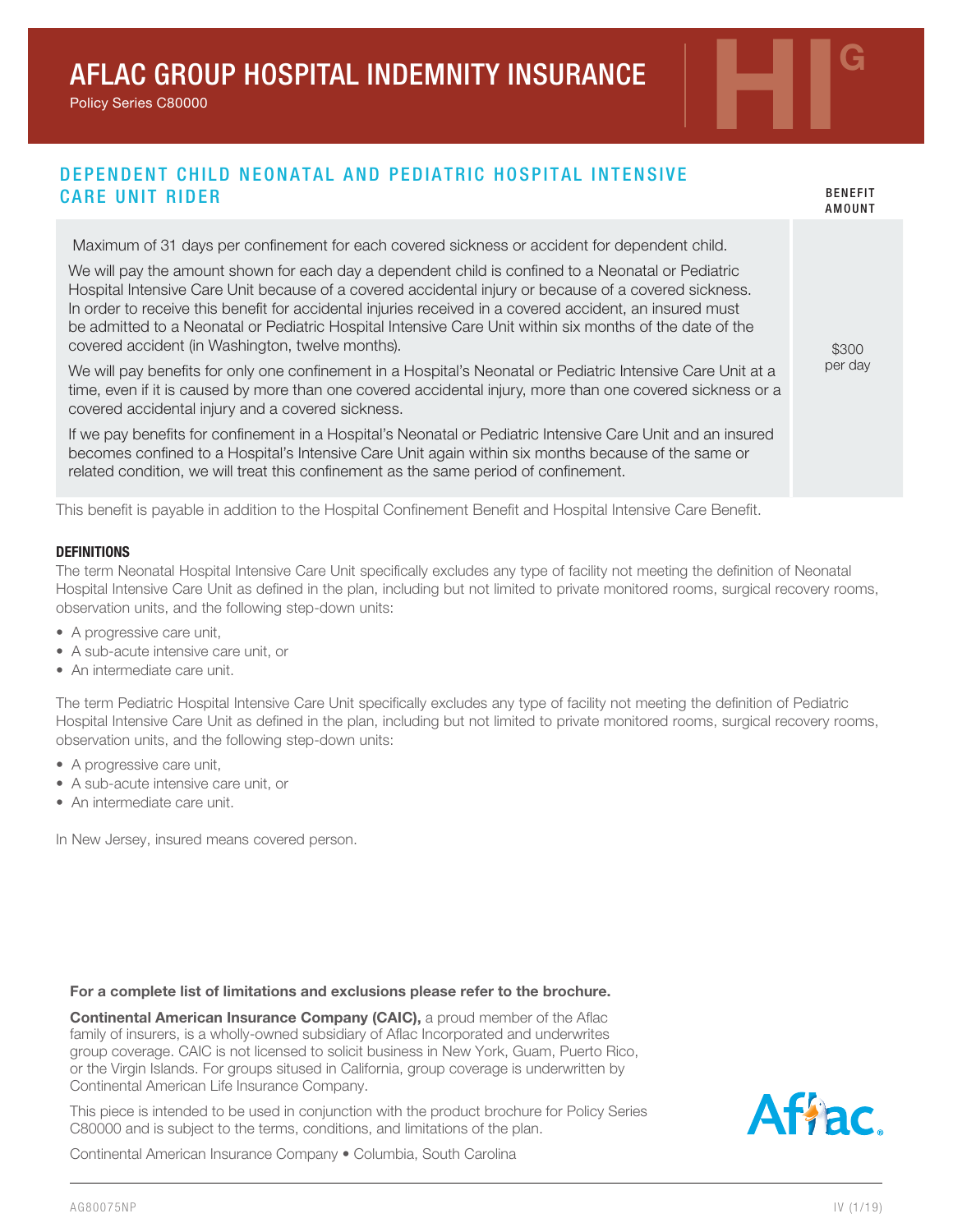# AFLAC GROUP HOSPITAL INDEMNITY INSURANCE AFLAC GROUP HOSPITAL INDEMNITY INSURANCE

# DEPENDENT CHILD NEONATAL AND PEDIATRIC HOSPITAL INTENSIVE **CARE UNIT RIDER**

| <b>ARE UNIT RIDER</b>                                                                                                                                                                                                                                                                                                                                                                                                                                                                   | <b>BENEFIT</b><br>AMOUNT |
|-----------------------------------------------------------------------------------------------------------------------------------------------------------------------------------------------------------------------------------------------------------------------------------------------------------------------------------------------------------------------------------------------------------------------------------------------------------------------------------------|--------------------------|
| Maximum of 31 days per confinement for each covered sickness or accident for dependent child.                                                                                                                                                                                                                                                                                                                                                                                           |                          |
| We will pay the amount shown for each day a dependent child is confined to a Neonatal or Pediatric<br>Hospital Intensive Care Unit because of a covered accidental injury or because of a covered sickness.<br>In order to receive this benefit for accidental injuries received in a covered accident, an insured must<br>be admitted to a Neonatal or Pediatric Hospital Intensive Care Unit within six months of the date of the<br>covered accident (in Washington, twelve months). | \$300                    |
| We will pay benefits for only one confinement in a Hospital's Neonatal or Pediatric Intensive Care Unit at a<br>time, even if it is caused by more than one covered accidental injury, more than one covered sickness or a<br>covered accidental injury and a covered sickness.                                                                                                                                                                                                         | per day                  |
| If we pay benefits for confinement in a Hospital's Neonatal or Pediatric Intensive Care Unit and an insured<br>becomes confined to a Hospital's Intensive Care Unit again within six months because of the same or<br>related condition, we will treat this confinement as the same period of confinement.                                                                                                                                                                              |                          |

This benefit is payable in addition to the Hospital Confinement Benefit and Hospital Intensive Care Benefit.

#### **DEFINITIONS**

The term Neonatal Hospital Intensive Care Unit specifically excludes any type of facility not meeting the definition of Neonatal Hospital Intensive Care Unit as defined in the plan, including but not limited to private monitored rooms, surgical recovery rooms, observation units, and the following step-down units:

- A progressive care unit,
- A sub-acute intensive care unit, or
- An intermediate care unit.

The term Pediatric Hospital Intensive Care Unit specifically excludes any type of facility not meeting the definition of Pediatric Hospital Intensive Care Unit as defined in the plan, including but not limited to private monitored rooms, surgical recovery rooms, observation units, and the following step-down units:

- A progressive care unit,
- A sub-acute intensive care unit, or
- An intermediate care unit.

In New Jersey, insured means covered person.

#### **For a complete list of limitations and exclusions please refer to the brochure.**

**Continental American Insurance Company (CAIC),** a proud member of the Aflac family of insurers, is a wholly-owned subsidiary of Aflac Incorporated and underwrites group coverage. CAIC is not licensed to solicit business in New York, Guam, Puerto Rico, or the Virgin Islands. For groups sitused in California, group coverage is underwritten by Continental American Life Insurance Company.

This piece is intended to be used in conjunction with the product brochure for Policy Series C80000 and is subject to the terms, conditions, and limitations of the plan.